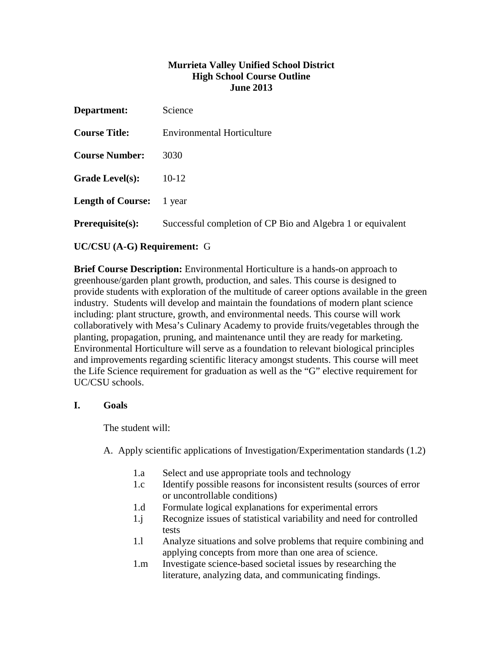### **Murrieta Valley Unified School District High School Course Outline June 2013**

| Department:              | Science                                                     |
|--------------------------|-------------------------------------------------------------|
| <b>Course Title:</b>     | <b>Environmental Horticulture</b>                           |
| <b>Course Number:</b>    | 3030                                                        |
| <b>Grade Level(s):</b>   | $10 - 12$                                                   |
| <b>Length of Course:</b> | 1 year                                                      |
| <b>Prerequisite(s):</b>  | Successful completion of CP Bio and Algebra 1 or equivalent |
|                          |                                                             |

# **UC/CSU (A-G) Requirement:** G

**Brief Course Description:** Environmental Horticulture is a hands-on approach to greenhouse/garden plant growth, production, and sales. This course is designed to provide students with exploration of the multitude of career options available in the green industry. Students will develop and maintain the foundations of modern plant science including: plant structure, growth, and environmental needs. This course will work collaboratively with Mesa's Culinary Academy to provide fruits/vegetables through the planting, propagation, pruning, and maintenance until they are ready for marketing. Environmental Horticulture will serve as a foundation to relevant biological principles and improvements regarding scientific literacy amongst students. This course will meet the Life Science requirement for graduation as well as the "G" elective requirement for UC/CSU schools.

# **I. Goals**

The student will:

A. Apply scientific applications of Investigation/Experimentation standards (1.2)

- 1.a Select and use appropriate tools and technology
- 1.c Identify possible reasons for inconsistent results (sources of error or uncontrollable conditions)
- 1.d Formulate logical explanations for experimental errors
- 1.j Recognize issues of statistical variability and need for controlled tests
- 1.l Analyze situations and solve problems that require combining and applying concepts from more than one area of science.
- 1.m Investigate science-based societal issues by researching the literature, analyzing data, and communicating findings.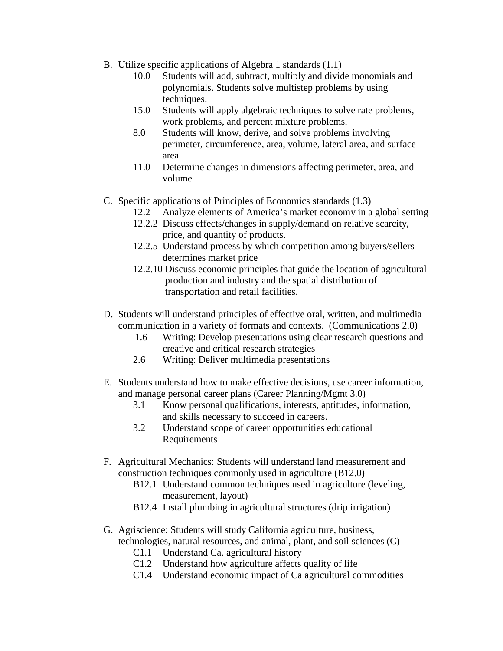- B. Utilize specific applications of Algebra 1 standards (1.1)
	- 10.0 Students will add, subtract, multiply and divide monomials and polynomials. Students solve multistep problems by using techniques.
	- 15.0 Students will apply algebraic techniques to solve rate problems, work problems, and percent mixture problems.
	- 8.0 Students will know, derive, and solve problems involving perimeter, circumference, area, volume, lateral area, and surface area.
	- 11.0 Determine changes in dimensions affecting perimeter, area, and volume
- C. Specific applications of Principles of Economics standards (1.3)
	- 12.2 Analyze elements of America's market economy in a global setting
	- 12.2.2 Discuss effects/changes in supply/demand on relative scarcity, price, and quantity of products.
	- 12.2.5 Understand process by which competition among buyers/sellers determines market price
	- 12.2.10 Discuss economic principles that guide the location of agricultural production and industry and the spatial distribution of transportation and retail facilities.
- D. Students will understand principles of effective oral, written, and multimedia communication in a variety of formats and contexts. (Communications 2.0)
	- 1.6 Writing: Develop presentations using clear research questions and creative and critical research strategies
	- 2.6 Writing: Deliver multimedia presentations
- E. Students understand how to make effective decisions, use career information, and manage personal career plans (Career Planning/Mgmt 3.0)
	- 3.1 Know personal qualifications, interests, aptitudes, information, and skills necessary to succeed in careers.
	- 3.2 Understand scope of career opportunities educational Requirements
- F. Agricultural Mechanics: Students will understand land measurement and construction techniques commonly used in agriculture (B12.0)
	- B12.1 Understand common techniques used in agriculture (leveling, measurement, layout)
	- B12.4 Install plumbing in agricultural structures (drip irrigation)
- G. Agriscience: Students will study California agriculture, business, technologies, natural resources, and animal, plant, and soil sciences (C)
	- C1.1 Understand Ca. agricultural history
	- C1.2 Understand how agriculture affects quality of life
	- C1.4 Understand economic impact of Ca agricultural commodities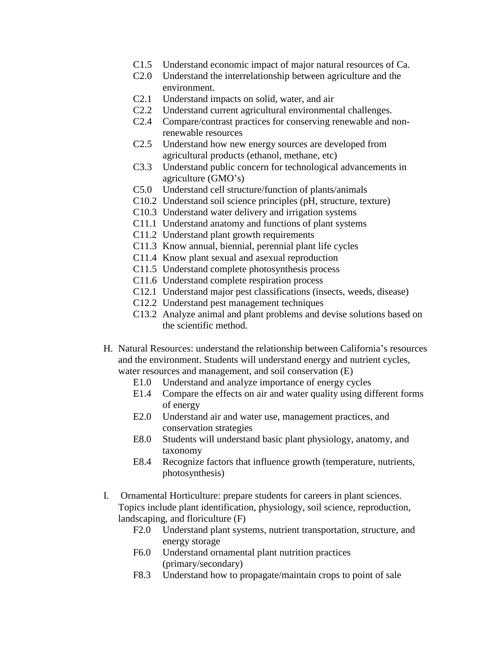- C1.5 Understand economic impact of major natural resources of Ca.
- C2.0 Understand the interrelationship between agriculture and the environment.
- C2.1 Understand impacts on solid, water, and air
- C2.2 Understand current agricultural environmental challenges.
- C2.4 Compare/contrast practices for conserving renewable and nonrenewable resources
- C2.5 Understand how new energy sources are developed from agricultural products (ethanol, methane, etc)
- C3.3 Understand public concern for technological advancements in agriculture (GMO's)
- C5.0 Understand cell structure/function of plants/animals
- C10.2 Understand soil science principles (pH, structure, texture)
- C10.3 Understand water delivery and irrigation systems
- C11.1 Understand anatomy and functions of plant systems
- C11.2 Understand plant growth requirements
- C11.3 Know annual, biennial, perennial plant life cycles
- C11.4 Know plant sexual and asexual reproduction
- C11.5 Understand complete photosynthesis process
- C11.6 Understand complete respiration process
- C12.1 Understand major pest classifications (insects, weeds, disease)
- C12.2 Understand pest management techniques
- C13.2 Analyze animal and plant problems and devise solutions based on the scientific method.
- H. Natural Resources: understand the relationship between California's resources and the environment. Students will understand energy and nutrient cycles, water resources and management, and soil conservation (E)
	- E1.0 Understand and analyze importance of energy cycles
	- E1.4 Compare the effects on air and water quality using different forms of energy
	- E2.0 Understand air and water use, management practices, and conservation strategies
	- E8.0 Students will understand basic plant physiology, anatomy, and taxonomy
	- E8.4 Recognize factors that influence growth (temperature, nutrients, photosynthesis)
- I. Ornamental Horticulture: prepare students for careers in plant sciences. Topics include plant identification, physiology, soil science, reproduction, landscaping, and floriculture (F)
	- F2.0 Understand plant systems, nutrient transportation, structure, and energy storage
	- F6.0 Understand ornamental plant nutrition practices (primary/secondary)
	- F8.3 Understand how to propagate/maintain crops to point of sale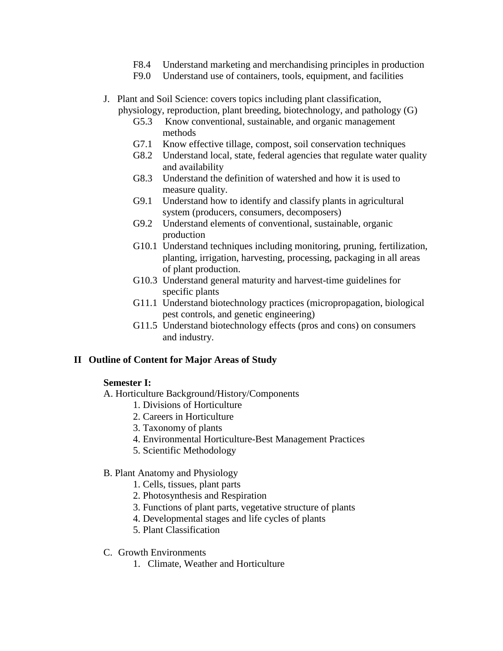- F8.4 Understand marketing and merchandising principles in production
- F9.0 Understand use of containers, tools, equipment, and facilities
- J. Plant and Soil Science: covers topics including plant classification, physiology, reproduction, plant breeding, biotechnology, and pathology (G)
	- G5.3 Know conventional, sustainable, and organic management methods
	- G7.1 Know effective tillage, compost, soil conservation techniques
	- G8.2 Understand local, state, federal agencies that regulate water quality and availability
	- G8.3 Understand the definition of watershed and how it is used to measure quality.
	- G9.1 Understand how to identify and classify plants in agricultural system (producers, consumers, decomposers)
	- G9.2 Understand elements of conventional, sustainable, organic production
	- G10.1 Understand techniques including monitoring, pruning, fertilization, planting, irrigation, harvesting, processing, packaging in all areas of plant production.
	- G10.3 Understand general maturity and harvest-time guidelines for specific plants
	- G11.1 Understand biotechnology practices (micropropagation, biological pest controls, and genetic engineering)
	- G11.5 Understand biotechnology effects (pros and cons) on consumers and industry.

### **II Outline of Content for Major Areas of Study**

### **Semester I:**

- A. Horticulture Background/History/Components
	- 1. Divisions of Horticulture
	- 2. Careers in Horticulture
	- 3. Taxonomy of plants
	- 4. Environmental Horticulture-Best Management Practices
	- 5. Scientific Methodology
- B. Plant Anatomy and Physiology
	- 1. Cells, tissues, plant parts
	- 2. Photosynthesis and Respiration
	- 3. Functions of plant parts, vegetative structure of plants
	- 4. Developmental stages and life cycles of plants
	- 5. Plant Classification
- C. Growth Environments
	- 1. Climate, Weather and Horticulture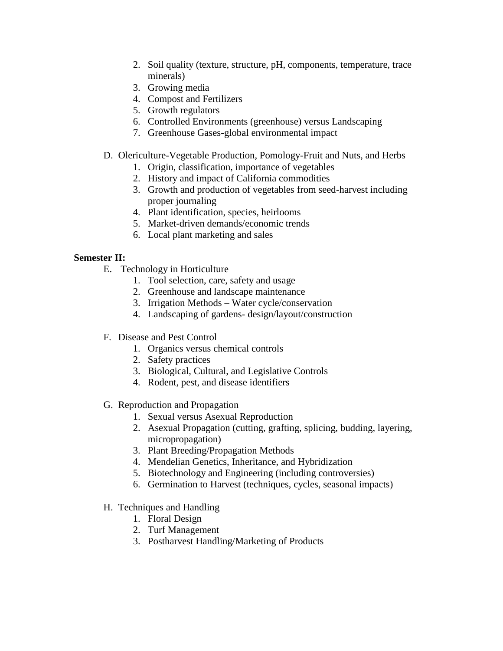- 2. Soil quality (texture, structure, pH, components, temperature, trace minerals)
- 3. Growing media
- 4. Compost and Fertilizers
- 5. Growth regulators
- 6. Controlled Environments (greenhouse) versus Landscaping
- 7. Greenhouse Gases-global environmental impact
- D. Olericulture-Vegetable Production, Pomology-Fruit and Nuts, and Herbs
	- 1. Origin, classification, importance of vegetables
	- 2. History and impact of California commodities
	- 3. Growth and production of vegetables from seed-harvest including proper journaling
	- 4. Plant identification, species, heirlooms
	- 5. Market-driven demands/economic trends
	- 6. Local plant marketing and sales

# **Semester II:**

- E. Technology in Horticulture
	- 1. Tool selection, care, safety and usage
	- 2. Greenhouse and landscape maintenance
	- 3. Irrigation Methods Water cycle/conservation
	- 4. Landscaping of gardens- design/layout/construction
- F. Disease and Pest Control
	- 1. Organics versus chemical controls
	- 2. Safety practices
	- 3. Biological, Cultural, and Legislative Controls
	- 4. Rodent, pest, and disease identifiers
- G. Reproduction and Propagation
	- 1. Sexual versus Asexual Reproduction
	- 2. Asexual Propagation (cutting, grafting, splicing, budding, layering, micropropagation)
	- 3. Plant Breeding/Propagation Methods
	- 4. Mendelian Genetics, Inheritance, and Hybridization
	- 5. Biotechnology and Engineering (including controversies)
	- 6. Germination to Harvest (techniques, cycles, seasonal impacts)
- H. Techniques and Handling
	- 1. Floral Design
	- 2. Turf Management
	- 3. Postharvest Handling/Marketing of Products